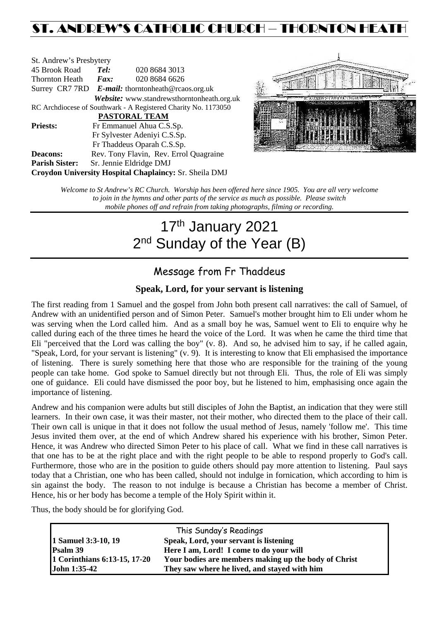## ST. ANDREW'S CATHOLIC CHURCH – THORNTON HEAT

| St. Andrew's Presbytery                                        |                                                      |                                            |  |  |  |
|----------------------------------------------------------------|------------------------------------------------------|--------------------------------------------|--|--|--|
| 45 Brook Road                                                  | Tel:<br>020 8684 3013                                |                                            |  |  |  |
| <b>Thornton Heath</b>                                          | $\boldsymbol{Fax:}$                                  | 020 8684 6626                              |  |  |  |
|                                                                | Surrey CR7 7RD $E$ -mail: thorntonheath@rcaos.org.uk |                                            |  |  |  |
|                                                                |                                                      | Website: www.standrewsthorntonheath.org.uk |  |  |  |
| RC Archdiocese of Southwark - A Registered Charity No. 1173050 |                                                      |                                            |  |  |  |
| <b>PASTORAL TEAM</b>                                           |                                                      |                                            |  |  |  |
| <b>Priests:</b>                                                |                                                      | Fr Emmanuel Ahua C.S.Sp.                   |  |  |  |
|                                                                | Fr Sylvester Adeniyi C.S.Sp.                         |                                            |  |  |  |
|                                                                |                                                      | Fr Thaddeus Oparah C.S.Sp.                 |  |  |  |
| <b>Deacons:</b>                                                |                                                      | Rev. Tony Flavin, Rev. Errol Quagraine     |  |  |  |
| <b>Parish Sister:</b>                                          | Sr. Jennie Eldridge DMJ                              |                                            |  |  |  |
| <b>Croydon University Hospital Chaplaincy: Sr. Sheila DMJ</b>  |                                                      |                                            |  |  |  |



*Welcome to St Andrew's RC Church. Worship has been offered here since 1905. You are all very welcome to join in the hymns and other parts of the service as much as possible. Please switch mobile phones off and refrain from taking photographs, filming or recording.*

# 17<sup>th</sup> January 2021 2<sup>nd</sup> Sunday of the Year (B)

### Message from Fr Thaddeus

### **Speak, Lord, for your servant is listening**

The first reading from 1 Samuel and the gospel from John both present call narratives: the call of Samuel, of Andrew with an unidentified person and of Simon Peter. Samuel's mother brought him to Eli under whom he was serving when the Lord called him. And as a small boy he was, Samuel went to Eli to enquire why he called during each of the three times he heard the voice of the Lord. It was when he came the third time that Eli "perceived that the Lord was calling the boy" (v. 8). And so, he advised him to say, if he called again, "Speak, Lord, for your servant is listening" (v. 9). It is interesting to know that Eli emphasised the importance of listening. There is surely something here that those who are responsible for the training of the young people can take home. God spoke to Samuel directly but not through Eli. Thus, the role of Eli was simply one of guidance. Eli could have dismissed the poor boy, but he listened to him, emphasising once again the importance of listening.

Andrew and his companion were adults but still disciples of John the Baptist, an indication that they were still learners. In their own case, it was their master, not their mother, who directed them to the place of their call. Their own call is unique in that it does not follow the usual method of Jesus, namely 'follow me'. This time Jesus invited them over, at the end of which Andrew shared his experience with his brother, Simon Peter. Hence, it was Andrew who directed Simon Peter to his place of call. What we find in these call narratives is that one has to be at the right place and with the right people to be able to respond properly to God's call. Furthermore, those who are in the position to guide others should pay more attention to listening. Paul says today that a Christian, one who has been called, should not indulge in fornication, which according to him is sin against the body. The reason to not indulge is because a Christian has become a member of Christ. Hence, his or her body has become a temple of the Holy Spirit within it.

Thus, the body should be for glorifying God.

|                              | This Sunday's Readings                               |  |
|------------------------------|------------------------------------------------------|--|
| 1 Samuel 3:3-10, 19          | Speak, Lord, your servant is listening               |  |
| Psalm 39                     | Here I am, Lord! I come to do your will              |  |
| 1 Corinthians 6:13-15, 17-20 | Your bodies are members making up the body of Christ |  |
| <b>John 1:35-42</b>          | They saw where he lived, and stayed with him         |  |